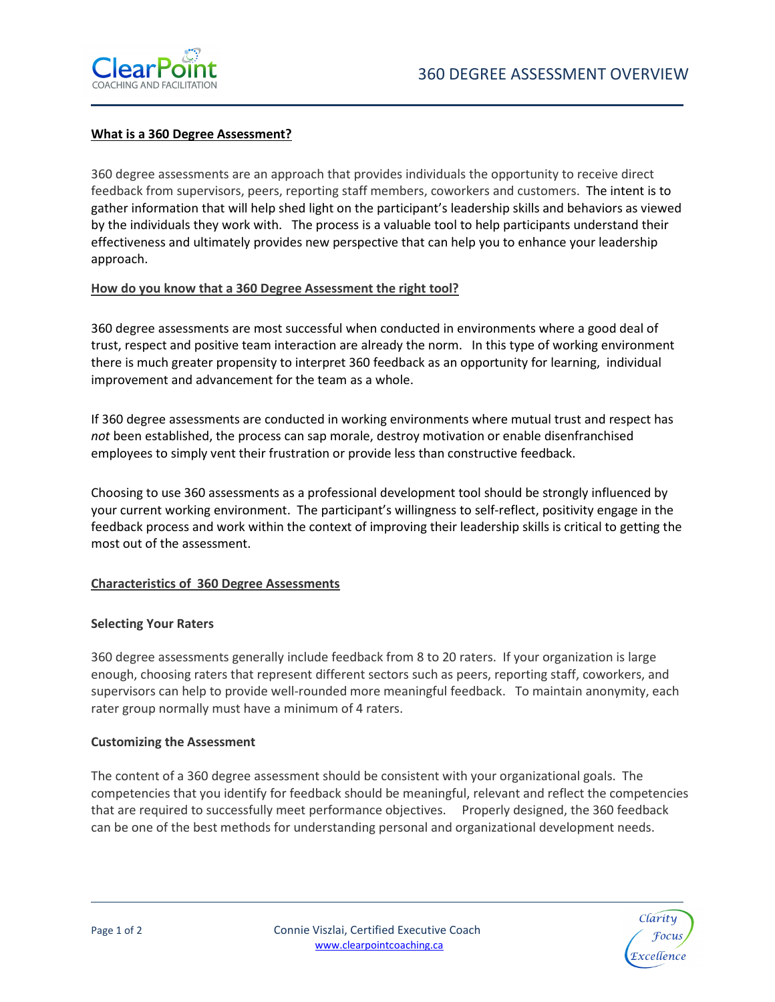

#### What is a 360 Degree Assessment?

360 degree assessments are an approach that provides individuals the opportunity to receive direct feedback from supervisors, peers, reporting staff members, coworkers and customers. The intent is to gather information that will help shed light on the participant's leadership skills and behaviors as viewed by the individuals they work with. The process is a valuable tool to help participants understand their effectiveness and ultimately provides new perspective that can help you to enhance your leadership approach.

## How do you know that a 360 Degree Assessment the right tool?

360 degree assessments are most successful when conducted in environments where a good deal of trust, respect and positive team interaction are already the norm. In this type of working environment there is much greater propensity to interpret 360 feedback as an opportunity for learning, individual improvement and advancement for the team as a whole.

If 360 degree assessments are conducted in working environments where mutual trust and respect has not been established, the process can sap morale, destroy motivation or enable disenfranchised employees to simply vent their frustration or provide less than constructive feedback.

Choosing to use 360 assessments as a professional development tool should be strongly influenced by your current working environment. The participant's willingness to self-reflect, positivity engage in the feedback process and work within the context of improving their leadership skills is critical to getting the most out of the assessment.

## Characteristics of 360 Degree Assessments

#### Selecting Your Raters

360 degree assessments generally include feedback from 8 to 20 raters. If your organization is large enough, choosing raters that represent different sectors such as peers, reporting staff, coworkers, and supervisors can help to provide well-rounded more meaningful feedback. To maintain anonymity, each rater group normally must have a minimum of 4 raters.

#### Customizing the Assessment

The content of a 360 degree assessment should be consistent with your organizational goals. The competencies that you identify for feedback should be meaningful, relevant and reflect the competencies that are required to successfully meet performance objectives. Properly designed, the 360 feedback can be one of the best methods for understanding personal and organizational development needs.